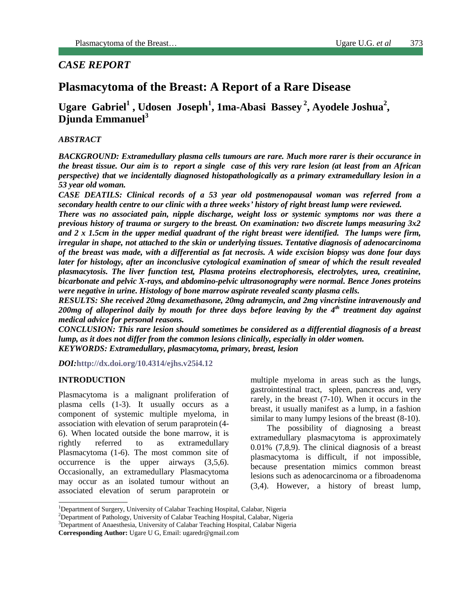# *CASE REPORT*

# **Plasmacytoma of the Breast: A Report of a Rare Disease**

**Ugare Gabriel<sup>1</sup> , Udosen Joseph<sup>1</sup> , 1ma-Abasi Bassey <sup>2</sup> , Ayodele Joshua<sup>2</sup> , Djunda Emmanuel<sup>3</sup>**

## *ABSTRACT*

*BACKGROUND: Extramedullary plasma cells tumours are rare. Much more rarer is their occurance in the breast tissue. Our aim is to report a single case of this very rare lesion (at least from an African perspective) that we incidentally diagnosed histopathologically as a primary extramedullary lesion in a 53 year old woman.*

*CASE DEATILS: Clinical records of a 53 year old postmenopausal woman was referred from a secondary health centre to our clinic with a three weeks' history of right breast lump were reviewed.*

*There was no associated pain, nipple discharge, weight loss or systemic symptoms nor was there a previous history of trauma or surgery to the breast. On examination: two discrete lumps measuring 3x2 and 2 x 1.5cm in the upper medial quadrant of the right breast were identified. The lumps were firm, irregular in shape, not attached to the skin or underlying tissues. Tentative diagnosis of adenocarcinoma of the breast was made, with a differential as fat necrosis. A wide excision biopsy was done four days later for histology, after an inconclusive cytological examination of smear of which the result revealed plasmacytosis. The liver function test, Plasma proteins electrophoresis, electrolytes, urea, creatinine, bicarbonate and pelvic X-rays, and abdomino-pelvic ultrasonography were normal. Bence Jones proteins were negative in urine. Histology of bone marrow aspirate revealed scanty plasma cells.* 

*RESULTS: She received 20mg dexamethasone, 20mg adramycin, and 2mg vincristine intravenously and 200mg of alloperinol daily by mouth for three days before leaving by the 4th treatment day against medical advice for personal reasons.* 

*CONCLUSION: This rare lesion should sometimes be considered as a differential diagnosis of a breast lump, as it does not differ from the common lesions clinically, especially in older women. KEYWORDS: Extramedullary, plasmacytoma, primary, breast, lesion*

*DOI:***<http://dx.doi.org/10.4314/ejhs.v25i4.12>**

#### **INTRODUCTION**

Plasmacytoma is a malignant proliferation of plasma cells (1-3). It usually occurs as a component of systemic multiple myeloma, in association with elevation of serum paraprotein (4- 6). When located outside the bone marrow, it is rightly referred to as extramedullary Plasmacytoma (1-6). The most common site of occurrence is the upper airways (3,5,6). Occasionally, an extramedullary Plasmacytoma may occur as an isolated tumour without an associated elevation of serum paraprotein or

multiple myeloma in areas such as the lungs, gastrointestinal tract, spleen, pancreas and, very rarely, in the breast (7-10). When it occurs in the breast, it usually manifest as a lump, in a fashion similar to many lumpy lesions of the breast (8-10).

The possibility of diagnosing a breast extramedullary plasmacytoma is approximately 0.01% (7,8,9). The clinical diagnosis of a breast plasmacytoma is difficult, if not impossible, because presentation mimics common breast lesions such as adenocarcinoma or a fibroadenoma (3,4). However, a history of breast lump,

<sup>&</sup>lt;sup>1</sup>Department of Surgery, University of Calabar Teaching Hospital, Calabar, Nigeria

<sup>&</sup>lt;sup>2</sup>Department of Pathology, University of Calabar Teaching Hospital, Calabar, Nigeria

<sup>&</sup>lt;sup>3</sup>Department of Anaesthesia, University of Calabar Teaching Hospital, Calabar Nigeria

**Corresponding Author:** Ugare U G, Email: ugaredr@gmail.com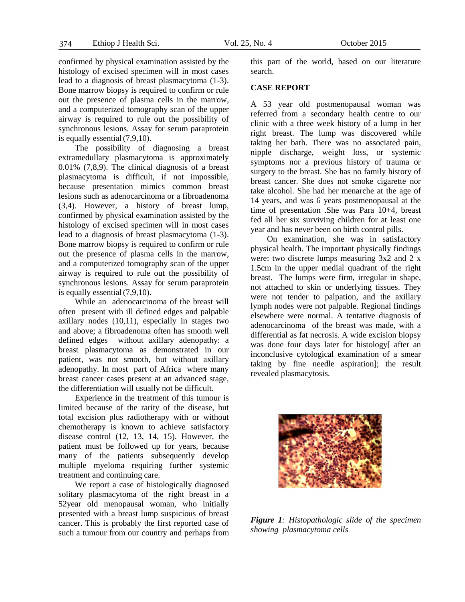confirmed by physical examination assisted by the histology of excised specimen will in most cases lead to a diagnosis of breast plasmacytoma (1-3). Bone marrow biopsy is required to confirm or rule out the presence of plasma cells in the marrow, and a computerized tomography scan of the upper airway is required to rule out the possibility of synchronous lesions. Assay for serum paraprotein is equally essential (7,9,10).

The possibility of diagnosing a breast extramedullary plasmacytoma is approximately 0.01% (7,8,9). The clinical diagnosis of a breast plasmacytoma is difficult, if not impossible, because presentation mimics common breast lesions such as adenocarcinoma or a fibroadenoma (3,4). However, a history of breast lump, confirmed by physical examination assisted by the histology of excised specimen will in most cases lead to a diagnosis of breast plasmacytoma (1-3). Bone marrow biopsy is required to confirm or rule out the presence of plasma cells in the marrow, and a computerized tomography scan of the upper airway is required to rule out the possibility of synchronous lesions. Assay for serum paraprotein is equally essential (7,9,10).

While an adenocarcinoma of the breast will often present with ill defined edges and palpable axillary nodes (10,11), especially in stages two and above; a fibroadenoma often has smooth well defined edges without axillary adenopathy: a breast plasmacytoma as demonstrated in our patient, was not smooth, but without axillary adenopathy. In most part of Africa where many breast cancer cases present at an advanced stage, the differentiation will usually not be difficult.

Experience in the treatment of this tumour is limited because of the rarity of the disease, but total excision plus radiotherapy with or without chemotherapy is known to achieve satisfactory disease control (12, 13, 14, 15). However, the patient must be followed up for years, because many of the patients subsequently develop multiple myeloma requiring further systemic treatment and continuing care.

We report a case of histologically diagnosed solitary plasmacytoma of the right breast in a 52year old menopausal woman, who initially presented with a breast lump suspicious of breast cancer. This is probably the first reported case of such a tumour from our country and perhaps from this part of the world, based on our literature search.

#### **CASE REPORT**

A 53 year old postmenopausal woman was referred from a secondary health centre to our clinic with a three week history of a lump in her right breast. The lump was discovered while taking her bath. There was no associated pain, nipple discharge, weight loss, or systemic symptoms nor a previous history of trauma or surgery to the breast. She has no family history of breast cancer. She does not smoke cigarette nor take alcohol. She had her menarche at the age of 14 years, and was 6 years postmenopausal at the time of presentation .She was Para 10+4, breast fed all her six surviving children for at least one year and has never been on birth control pills.

On examination, she was in satisfactory physical health. The important physically findings were: two discrete lumps measuring 3x2 and 2 x 1.5cm in the upper medial quadrant of the right breast. The lumps were firm, irregular in shape, not attached to skin or underlying tissues. They were not tender to palpation, and the axillary lymph nodes were not palpable. Regional findings elsewhere were normal. A tentative diagnosis of adenocarcinoma of the breast was made, with a differential as fat necrosis. A wide excision biopsy was done four days later for histology after an inconclusive cytological examination of a smear taking by fine needle aspiration]; the result revealed plasmacytosis.



*Figure 1: Histopathologic slide of the specimen showing plasmacytoma cells*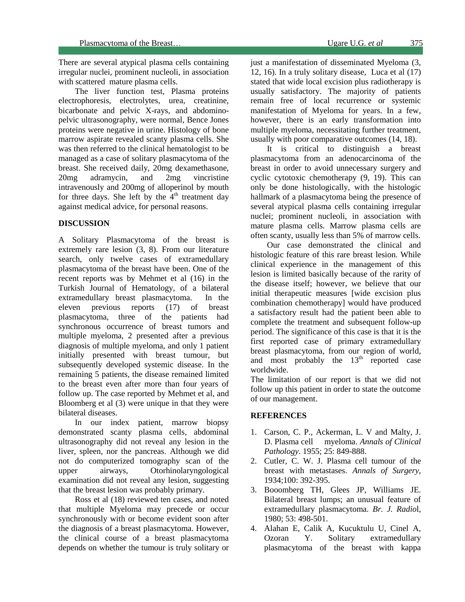There are several atypical plasma cells containing irregular nuclei, prominent nucleoli, in association with scattered mature plasma cells.

The liver function test, Plasma proteins electrophoresis, electrolytes, urea, creatinine, bicarbonate and pelvic X-rays, and abdominopelvic ultrasonography, were normal, Bence Jones proteins were negative in urine. Histology of bone marrow aspirate revealed scanty plasma cells. She was then referred to the clinical hematologist to be managed as a case of solitary plasmacytoma of the breast. She received daily, 20mg dexamethasone, 20mg adramycin, and 2mg vincristine intravenously and 200mg of alloperinol by mouth for three days. She left by the  $4<sup>th</sup>$  treatment day against medical advice, for personal reasons.

### **DISCUSSION**

L

A Solitary Plasmacytoma of the breast is extremely rare lesion (3, 8). From our literature search, only twelve cases of extramedullary plasmacytoma of the breast have been. One of the recent reports was by Mehmet et al (16) in the Turkish Journal of Hematology, of a bilateral extramedullary breast plasmacytoma. In the eleven previous reports (17) of breast plasmacytoma, three of the patients had synchronous occurrence of breast tumors and multiple myeloma, 2 presented after a previous diagnosis of multiple myeloma, and only 1 patient initially presented with breast tumour, but subsequently developed systemic disease. In the remaining 5 patients, the disease remained limited to the breast even after more than four years of follow up. The case reported by Mehmet et al, and Bloomberg et al (3) were unique in that they were bilateral diseases.

In our index patient, marrow biopsy demonstrated scanty plasma cells, abdominal ultrasonography did not reveal any lesion in the liver, spleen, nor the pancreas. Although we did not do computerized tomography scan of the upper airways, Otorhinolaryngological examination did not reveal any lesion, suggesting that the breast lesion was probably primary.

Ross et al (18) reviewed ten cases, and noted that multiple Myeloma may precede or occur synchronously with or become evident soon after the diagnosis of a breast plasmacytoma. However, the clinical course of a breast plasmacytoma depends on whether the tumour is truly solitary or

just a manifestation of disseminated Myeloma (3, 12, 16). In a truly solitary disease, Luca et al (17) stated that wide local excision plus radiotherapy is usually satisfactory. The majority of patients remain free of local recurrence or systemic manifestation of Myeloma for years. In a few, however, there is an early transformation into multiple myeloma, necessitating further treatment, usually with poor comparative outcomes (14, 18).

It is critical to distinguish a breast plasmacytoma from an adenocarcinoma of the breast in order to avoid unnecessary surgery and cyclic cytotoxic chemotherapy (9, 19). This can only be done histologically, with the histologic hallmark of a plasmacytoma being the presence of several atypical plasma cells containing irregular nuclei; prominent nucleoli, in association with mature plasma cells. Marrow plasma cells are often scanty, usually less than 5% of marrow cells.

Our case demonstrated the clinical and histologic feature of this rare breast lesion. While clinical experience in the management of this lesion is limited basically because of the rarity of the disease itself; however, we believe that our initial therapeutic measures [wide excision plus combination chemotherapy] would have produced a satisfactory result had the patient been able to complete the treatment and subsequent follow-up period. The significance of this case is that it is the first reported case of primary extramedullary breast plasmacytoma, from our region of world, and most probably the  $13<sup>th</sup>$  reported case worldwide.

The limitation of our report is that we did not follow up this patient in order to state the outcome of our management.

#### **REFERENCES**

- 1. Carson, C. P., Ackerman, L. V and Malty, J. D. Plasma cell myeloma. *Annals of Clinical Pathology*. 1955; 25: 849-888.
- 2. Cutler, C. W. J. Plasma cell tumour of the breast with metastases. *Annals of Surgery*, 1934;100: 392-395.
- 3. Booomberg TH, Glees JP, Williams JE. Bilateral breast lumps; an unusual feature of extramedullary plasmacytoma. *Br. J. Radio*l, 1980; 53: 498-501.
- 4. Alahan E, Calik A, Kucuktulu U, Cinel A, Ozoran Y. Solitary extramedullary plasmacytoma of the breast with kappa

375